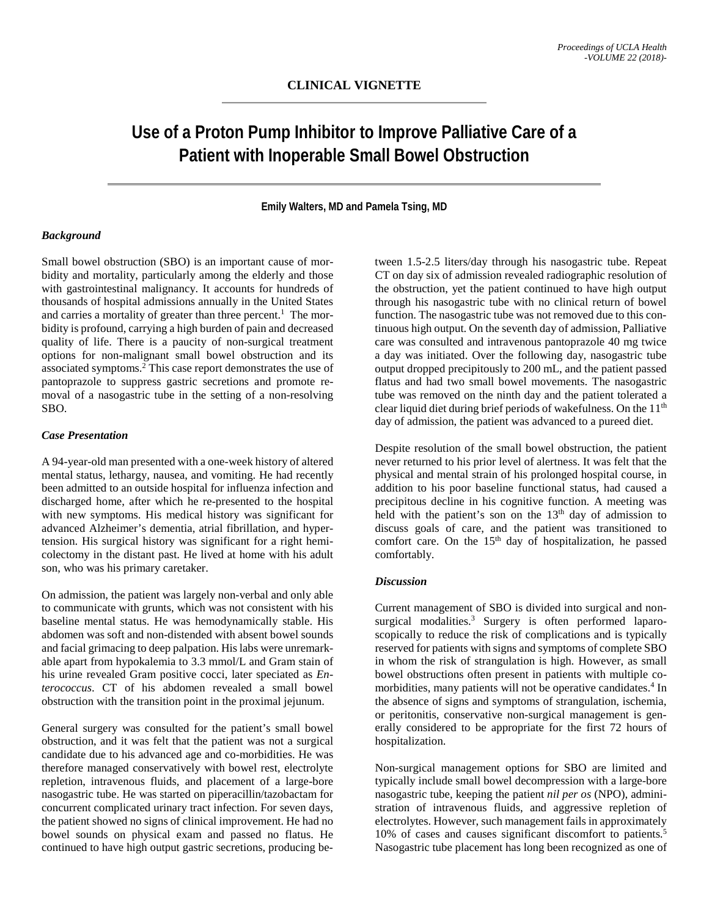# **Use of a Proton Pump Inhibitor to Improve Palliative Care of a Patient with Inoperable Small Bowel Obstruction**

**Emily Walters, MD and Pamela Tsing, MD**

#### *Background*

Small bowel obstruction (SBO) is an important cause of morbidity and mortality, particularly among the elderly and those with gastrointestinal malignancy. It accounts for hundreds of thousands of hospital admissions annually in the United States and carries a mortality of greater than three percent. <sup>1</sup> The morbidity is profound, carrying a high burden of pain and decreased quality of life. There is a paucity of non-surgical treatment options for non-malignant small bowel obstruction and its associated symptoms. <sup>2</sup> This case report demonstrates the use of pantoprazole to suppress gastric secretions and promote removal of a nasogastric tube in the setting of a non-resolving SBO.

#### *Case Presentation*

A 94-year-old man presented with a one-week history of altered mental status, lethargy, nausea, and vomiting. He had recently been admitted to an outside hospital for influenza infection and discharged home, after which he re-presented to the hospital with new symptoms. His medical history was significant for advanced Alzheimer's dementia, atrial fibrillation, and hypertension. His surgical history was significant for a right hemicolectomy in the distant past. He lived at home with his adult son, who was his primary caretaker.

On admission, the patient was largely non-verbal and only able to communicate with grunts, which was not consistent with his baseline mental status. He was hemodynamically stable. His abdomen was soft and non-distended with absent bowel sounds and facial grimacing to deep palpation. His labs were unremarkable apart from hypokalemia to 3.3 mmol/L and Gram stain of his urine revealed Gram positive cocci, later speciated as *Enterococcus*. CT of his abdomen revealed a small bowel obstruction with the transition point in the proximal jejunum.

General surgery was consulted for the patient's small bowel obstruction, and it was felt that the patient was not a surgical candidate due to his advanced age and co-morbidities. He was therefore managed conservatively with bowel rest, electrolyte repletion, intravenous fluids, and placement of a large-bore nasogastric tube. He was started on piperacillin/tazobactam for concurrent complicated urinary tract infection. For seven days, the patient showed no signs of clinical improvement. He had no bowel sounds on physical exam and passed no flatus. He continued to have high output gastric secretions, producing be-

tween 1.5-2.5 liters/day through his nasogastric tube. Repeat CT on day six of admission revealed radiographic resolution of the obstruction, yet the patient continued to have high output through his nasogastric tube with no clinical return of bowel function. The nasogastric tube was not removed due to this continuous high output. On the seventh day of admission, Palliative care was consulted and intravenous pantoprazole 40 mg twice a day was initiated. Over the following day, nasogastric tube output dropped precipitously to 200 mL, and the patient passed flatus and had two small bowel movements. The nasogastric tube was removed on the ninth day and the patient tolerated a clear liquid diet during brief periods of wakefulness. On the 11<sup>th</sup> day of admission, the patient was advanced to a pureed diet.

Despite resolution of the small bowel obstruction, the patient never returned to his prior level of alertness. It was felt that the physical and mental strain of his prolonged hospital course, in addition to his poor baseline functional status, had caused a precipitous decline in his cognitive function. A meeting was held with the patient's son on the  $13<sup>th</sup>$  day of admission to discuss goals of care, and the patient was transitioned to comfort care. On the  $15<sup>th</sup>$  day of hospitalization, he passed comfortably.

#### *Discussion*

Current management of SBO is divided into surgical and nonsurgical modalities.<sup>3</sup> Surgery is often performed laparoscopically to reduce the risk of complications and is typically reserved for patients with signs and symptoms of complete SBO in whom the risk of strangulation is high. However, as small bowel obstructions often present in patients with multiple comorbidities, many patients will not be operative candidates. <sup>4</sup> In the absence of signs and symptoms of strangulation, ischemia, or peritonitis, conservative non-surgical management is generally considered to be appropriate for the first 72 hours of hospitalization.

Non-surgical management options for SBO are limited and typically include small bowel decompression with a large-bore nasogastric tube, keeping the patient *nil per os* (NPO), administration of intravenous fluids, and aggressive repletion of electrolytes. However, such management fails in approximately 10% of cases and causes significant discomfort to patients. 5 Nasogastric tube placement has long been recognized as one of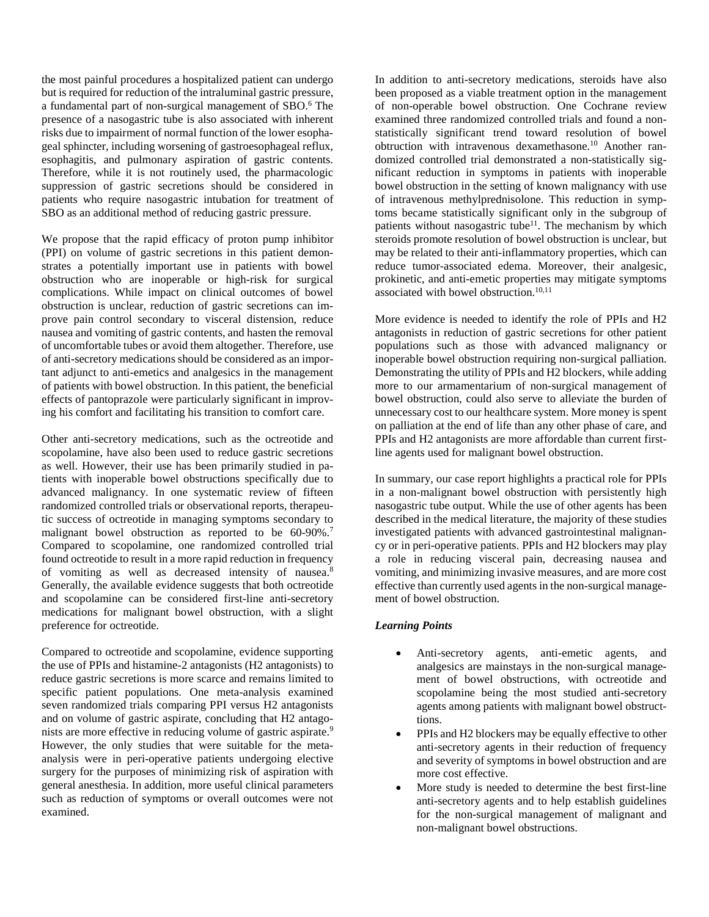the most painful procedures a hospitalized patient can undergo but is required for reduction of the intraluminal gastric pressure, a fundamental part of non-surgical management of SBO. <sup>6</sup> The presence of a nasogastric tube is also associated with inherent risks due to impairment of normal function of the lower esophageal sphincter, including worsening of gastroesophageal reflux, esophagitis, and pulmonary aspiration of gastric contents. Therefore, while it is not routinely used, the pharmacologic suppression of gastric secretions should be considered in patients who require nasogastric intubation for treatment of SBO as an additional method of reducing gastric pressure.

We propose that the rapid efficacy of proton pump inhibitor (PPI) on volume of gastric secretions in this patient demonstrates a potentially important use in patients with bowel obstruction who are inoperable or high-risk for surgical complications. While impact on clinical outcomes of bowel obstruction is unclear, reduction of gastric secretions can improve pain control secondary to visceral distension, reduce nausea and vomiting of gastric contents, and hasten the removal of uncomfortable tubes or avoid them altogether. Therefore, use of anti-secretory medications should be considered as an important adjunct to anti-emetics and analgesics in the management of patients with bowel obstruction. In this patient, the beneficial effects of pantoprazole were particularly significant in improving his comfort and facilitating his transition to comfort care.

Other anti-secretory medications, such as the octreotide and scopolamine, have also been used to reduce gastric secretions as well. However, their use has been primarily studied in patients with inoperable bowel obstructions specifically due to advanced malignancy. In one systematic review of fifteen randomized controlled trials or observational reports, therapeutic success of octreotide in managing symptoms secondary to malignant bowel obstruction as reported to be 60-90%.<sup>7</sup> Compared to scopolamine, one randomized controlled trial found octreotide to result in a more rapid reduction in frequency of vomiting as well as decreased intensity of nausea. 8 Generally, the available evidence suggests that both octreotide and scopolamine can be considered first-line anti-secretory medications for malignant bowel obstruction, with a slight preference for octreotide.

Compared to octreotide and scopolamine, evidence supporting the use of PPIs and histamine-2 antagonists (H2 antagonists) to reduce gastric secretions is more scarce and remains limited to specific patient populations. One meta-analysis examined seven randomized trials comparing PPI versus H2 antagonists and on volume of gastric aspirate, concluding that H2 antagonists are more effective in reducing volume of gastric aspirate. 9 However, the only studies that were suitable for the metaanalysis were in peri-operative patients undergoing elective surgery for the purposes of minimizing risk of aspiration with general anesthesia. In addition, more useful clinical parameters such as reduction of symptoms or overall outcomes were not examined.

In addition to anti-secretory medications, steroids have also been proposed as a viable treatment option in the management of non-operable bowel obstruction. One Cochrane review examined three randomized controlled trials and found a nonstatistically significant trend toward resolution of bowel obtruction with intravenous dexamethasone. <sup>10</sup> Another randomized controlled trial demonstrated a non-statistically significant reduction in symptoms in patients with inoperable bowel obstruction in the setting of known malignancy with use of intravenous methylprednisolone. This reduction in symptoms became statistically significant only in the subgroup of patients without nasogastric tube<sup>11</sup>. The mechanism by which steroids promote resolution of bowel obstruction is unclear, but may be related to their anti-inflammatory properties, which can reduce tumor-associated edema. Moreover, their analgesic, prokinetic, and anti-emetic properties may mitigate symptoms associated with bowel obstruction. 10,11

More evidence is needed to identify the role of PPIs and H2 antagonists in reduction of gastric secretions for other patient populations such as those with advanced malignancy or inoperable bowel obstruction requiring non-surgical palliation. Demonstrating the utility of PPIs and H2 blockers, while adding more to our armamentarium of non-surgical management of bowel obstruction, could also serve to alleviate the burden of unnecessary cost to our healthcare system. More money is spent on palliation at the end of life than any other phase of care, and PPIs and H2 antagonists are more affordable than current firstline agents used for malignant bowel obstruction.

In summary, our case report highlights a practical role for PPIs in a non-malignant bowel obstruction with persistently high nasogastric tube output. While the use of other agents has been described in the medical literature, the majority of these studies investigated patients with advanced gastrointestinal malignancy or in peri-operative patients. PPIs and H2 blockers may play a role in reducing visceral pain, decreasing nausea and vomiting, and minimizing invasive measures, and are more cost effective than currently used agents in the non-surgical management of bowel obstruction.

## *Learning Points*

- Anti-secretory agents, anti-emetic agents, and analgesics are mainstays in the non-surgical management of bowel obstructions, with octreotide and scopolamine being the most studied anti-secretory agents among patients with malignant bowel obstructtions.
- PPIs and H2 blockers may be equally effective to other anti-secretory agents in their reduction of frequency and severity of symptoms in bowel obstruction and are more cost effective.
- More study is needed to determine the best first-line anti-secretory agents and to help establish guidelines for the non-surgical management of malignant and non-malignant bowel obstructions.